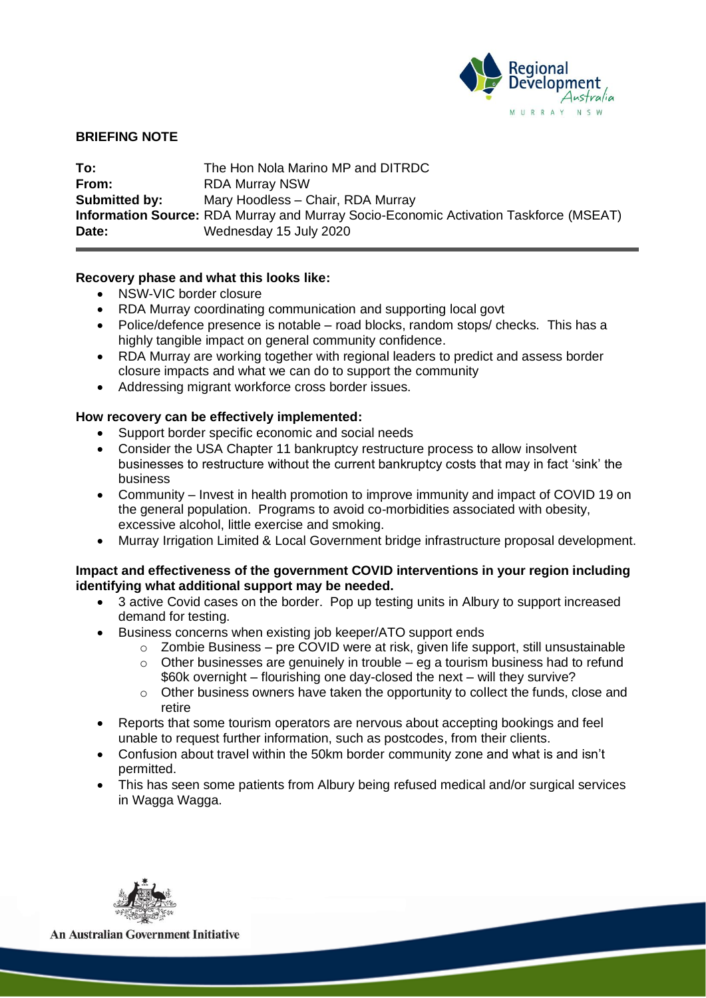

### **BRIEFING NOTE**

| To:                  | The Hon Nola Marino MP and DITRDC                                                            |
|----------------------|----------------------------------------------------------------------------------------------|
| From:                | <b>RDA Murray NSW</b>                                                                        |
| <b>Submitted by:</b> | Mary Hoodless - Chair, RDA Murray                                                            |
|                      | <b>Information Source:</b> RDA Murray and Murray Socio-Economic Activation Taskforce (MSEAT) |
| Date:                | Wednesday 15 July 2020                                                                       |

### **Recovery phase and what this looks like:**

- NSW-VIC border closure
- RDA Murray coordinating communication and supporting local govt
- Police/defence presence is notable road blocks, random stops/ checks. This has a highly tangible impact on general community confidence.
- RDA Murray are working together with regional leaders to predict and assess border closure impacts and what we can do to support the community
- Addressing migrant workforce cross border issues.

### **How recovery can be effectively implemented:**

- Support border specific economic and social needs
- Consider the USA Chapter 11 bankruptcy restructure process to allow insolvent businesses to restructure without the current bankruptcy costs that may in fact 'sink' the business
- Community Invest in health promotion to improve immunity and impact of COVID 19 on the general population. Programs to avoid co-morbidities associated with obesity, excessive alcohol, little exercise and smoking.
- Murray Irrigation Limited & Local Government bridge infrastructure proposal development.

### **Impact and effectiveness of the government COVID interventions in your region including identifying what additional support may be needed.**

- 3 active Covid cases on the border. Pop up testing units in Albury to support increased demand for testing.
- Business concerns when existing job keeper/ATO support ends
	- o Zombie Business pre COVID were at risk, given life support, still unsustainable
	- $\circ$  Other businesses are genuinely in trouble eg a tourism business had to refund \$60k overnight – flourishing one day-closed the next – will they survive?
	- o Other business owners have taken the opportunity to collect the funds, close and retire
- Reports that some tourism operators are nervous about accepting bookings and feel unable to request further information, such as postcodes, from their clients.
- Confusion about travel within the 50km border community zone and what is and isn't permitted.
- This has seen some patients from Albury being refused medical and/or surgical services in Wagga Wagga.



**An Australian Government Initiative**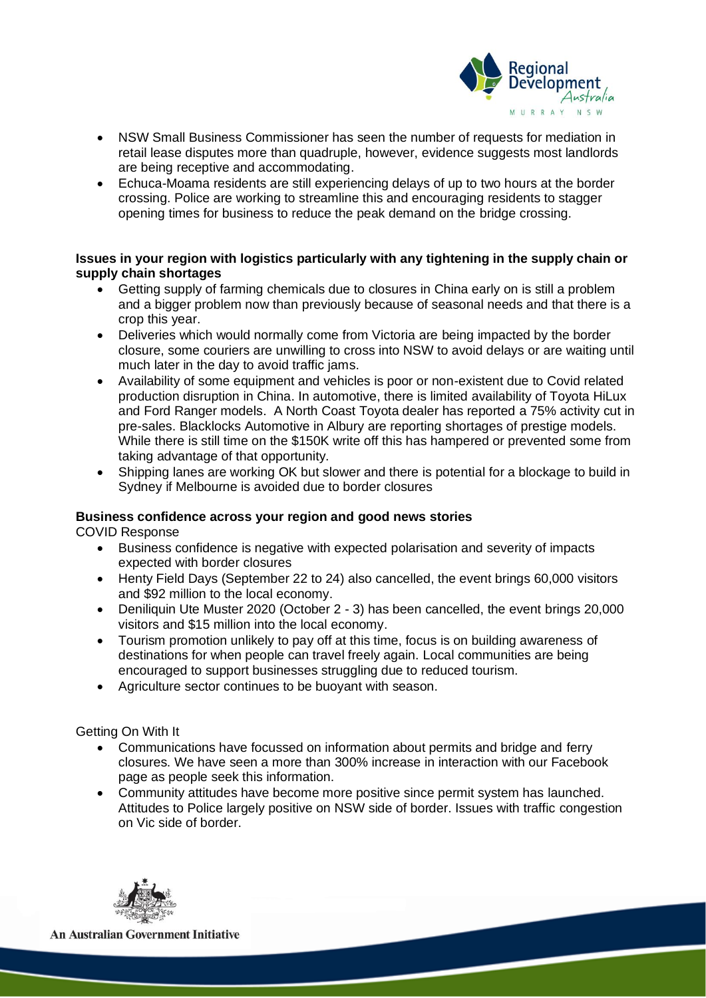

- NSW Small Business Commissioner has seen the number of requests for mediation in retail lease disputes more than quadruple, however, evidence suggests most landlords are being receptive and accommodating.
- Echuca-Moama residents are still experiencing delays of up to two hours at the border crossing. Police are working to streamline this and encouraging residents to stagger opening times for business to reduce the peak demand on the bridge crossing.

## **Issues in your region with logistics particularly with any tightening in the supply chain or supply chain shortages**

- Getting supply of farming chemicals due to closures in China early on is still a problem and a bigger problem now than previously because of seasonal needs and that there is a crop this year.
- Deliveries which would normally come from Victoria are being impacted by the border closure, some couriers are unwilling to cross into NSW to avoid delays or are waiting until much later in the day to avoid traffic jams.
- Availability of some equipment and vehicles is poor or non-existent due to Covid related production disruption in China. In automotive, there is limited availability of Toyota HiLux and Ford Ranger models. A North Coast Toyota dealer has reported a 75% activity cut in pre-sales. Blacklocks Automotive in Albury are reporting shortages of prestige models. While there is still time on the \$150K write off this has hampered or prevented some from taking advantage of that opportunity.
- Shipping lanes are working OK but slower and there is potential for a blockage to build in Sydney if Melbourne is avoided due to border closures

# **Business confidence across your region and good news stories**

COVID Response

- Business confidence is negative with expected polarisation and severity of impacts expected with border closures
- Henty Field Days (September 22 to 24) also cancelled, the event brings 60,000 visitors and \$92 million to the local economy.
- Deniliquin Ute Muster 2020 (October 2 3) has been cancelled, the event brings 20,000 visitors and \$15 million into the local economy.
- Tourism promotion unlikely to pay off at this time, focus is on building awareness of destinations for when people can travel freely again. Local communities are being encouraged to support businesses struggling due to reduced tourism.
- Agriculture sector continues to be buoyant with season.

Getting On With It

- Communications have focussed on information about permits and bridge and ferry closures. We have seen a more than 300% increase in interaction with our Facebook page as people seek this information.
- Community attitudes have become more positive since permit system has launched. Attitudes to Police largely positive on NSW side of border. Issues with traffic congestion on Vic side of border.



**An Australian Government Initiative**